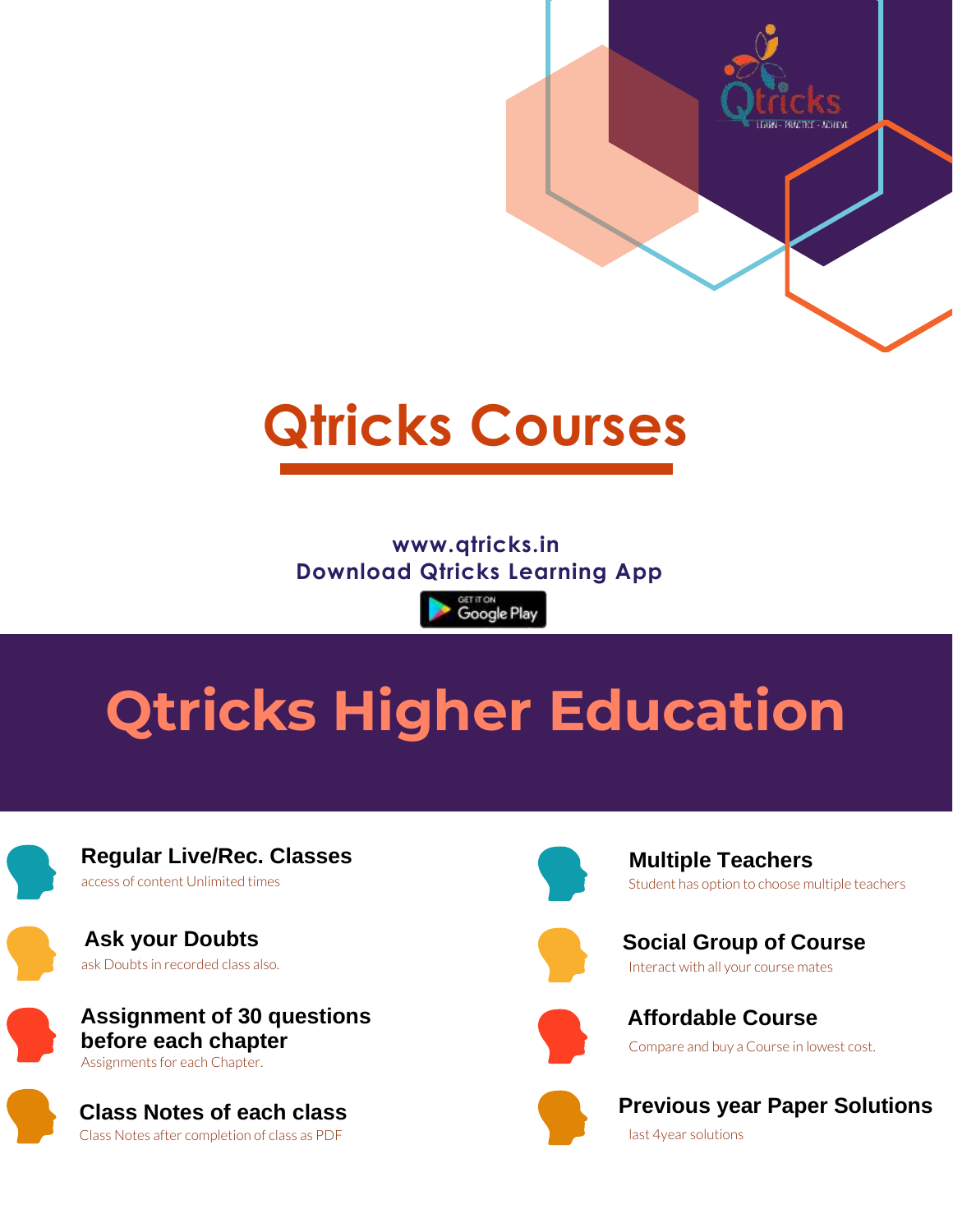

## **www.qtricks.in Download Qtricks Learning App**

<sup>கோர</sup>்<br>Google Play

## **Qtricks Higher Education**

**Regular Live/Rec. Classes** access of content Unlimited times

**Ask your Doubts** ask Doubts in recorded class also.

**Assignment of 30 questions before each chapter** Assignments for each Chapter.

**Class Notes of each class** Class Notes after completion of class as PDF



**Multiple Teachers** Student has option to choose multiple teachers

**LEARN - PRACTICE - ACHIEVE** 



**Social Group of Course** Interact with all your course mates



**Affordable Course**  Compare and buy a Course in lowest cost.



 **Previous year Paper Solutions** last 4year solutions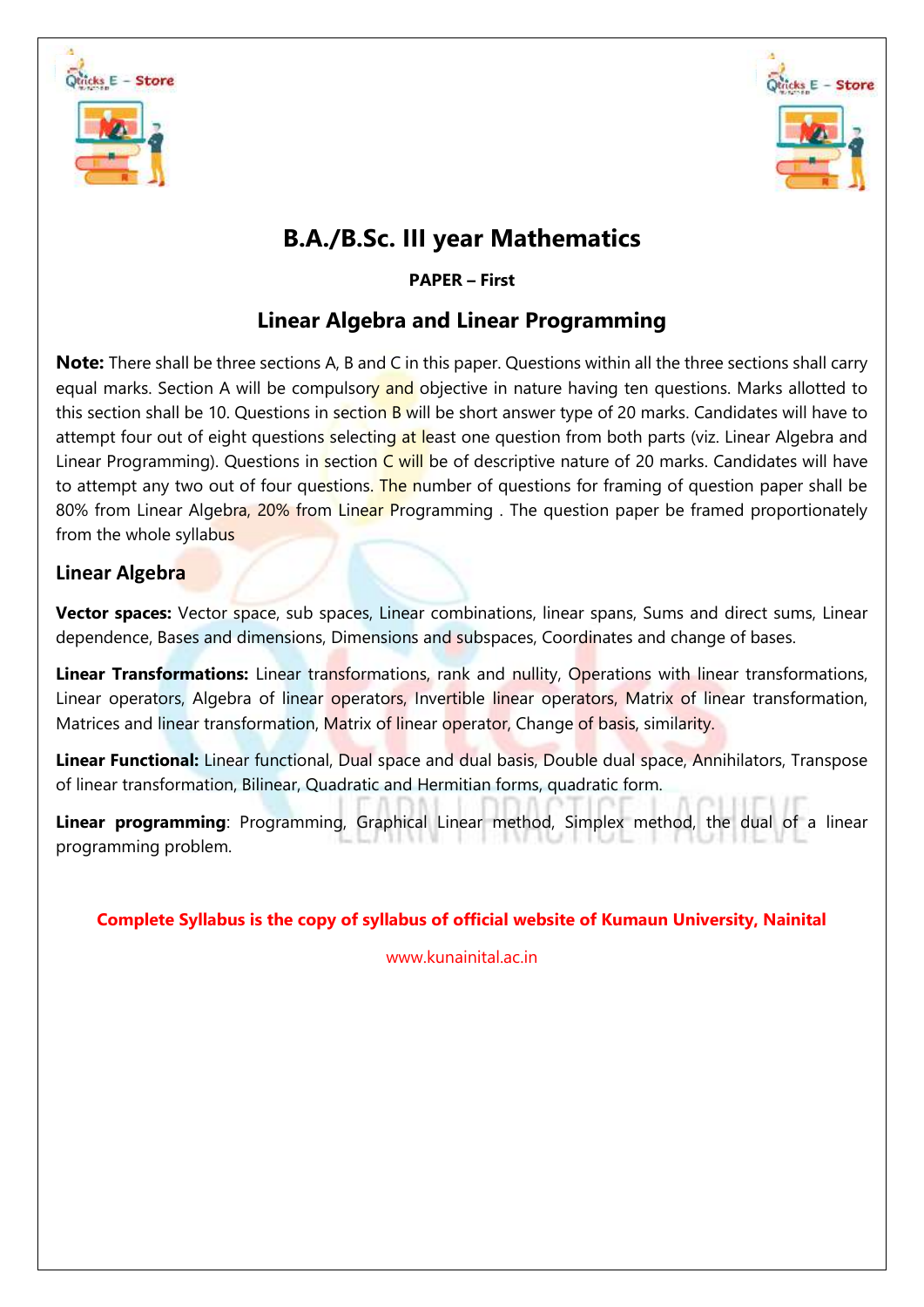



## **B.A./B.Sc. III year Mathematics**

**PAPER – First**

## **Linear Algebra and Linear Programming**

**Note:** There shall be three sections A, B and C in this paper. Questions within all the three sections shall carry equal marks. Section A will be compulsory and objective in nature having ten questions. Marks allotted to this section shall be 10. Questions in section B will be short answer type of 20 marks. Candidates will have to attempt four out of eight questions selecting at least one question from both parts (viz. Linear Algebra and Linear Programming). Questions in section  $C$  will be of descriptive nature of 20 marks. Candidates will have to attempt any two out of four questions. The number of questions for framing of question paper shall be 80% from Linear Algebra, 20% from Linear Programming . The question paper be framed proportionately from the whole syllabus

## **Linear Algebra**

**Vector spaces:** Vector space, sub spaces, Linear combinations, linear spans, Sums and direct sums, Linear dependence, Bases and dimensions, Dimensions and subspaces, Coordinates and change of bases.

**Linear Transformations:** Linear transformations, rank and nullity, Operations with linear transformations, Linear operators, Algebra of linear operators, Invertible linear operators, Matrix of linear transformation, Matrices and linear transformation, Matrix of linear operator, Change of basis, similarity.

**Linear Functional:** Linear functional, Dual space and dual basis, Double dual space, Annihilators, Transpose of linear transformation, Bilinear, Quadratic and Hermitian forms, quadratic form.

**Linear programming**: Programming, Graphical Linear method, Simplex method, the dual of a linear programming problem.

## **Complete Syllabus is the copy of syllabus of official website of Kumaun University, Nainital**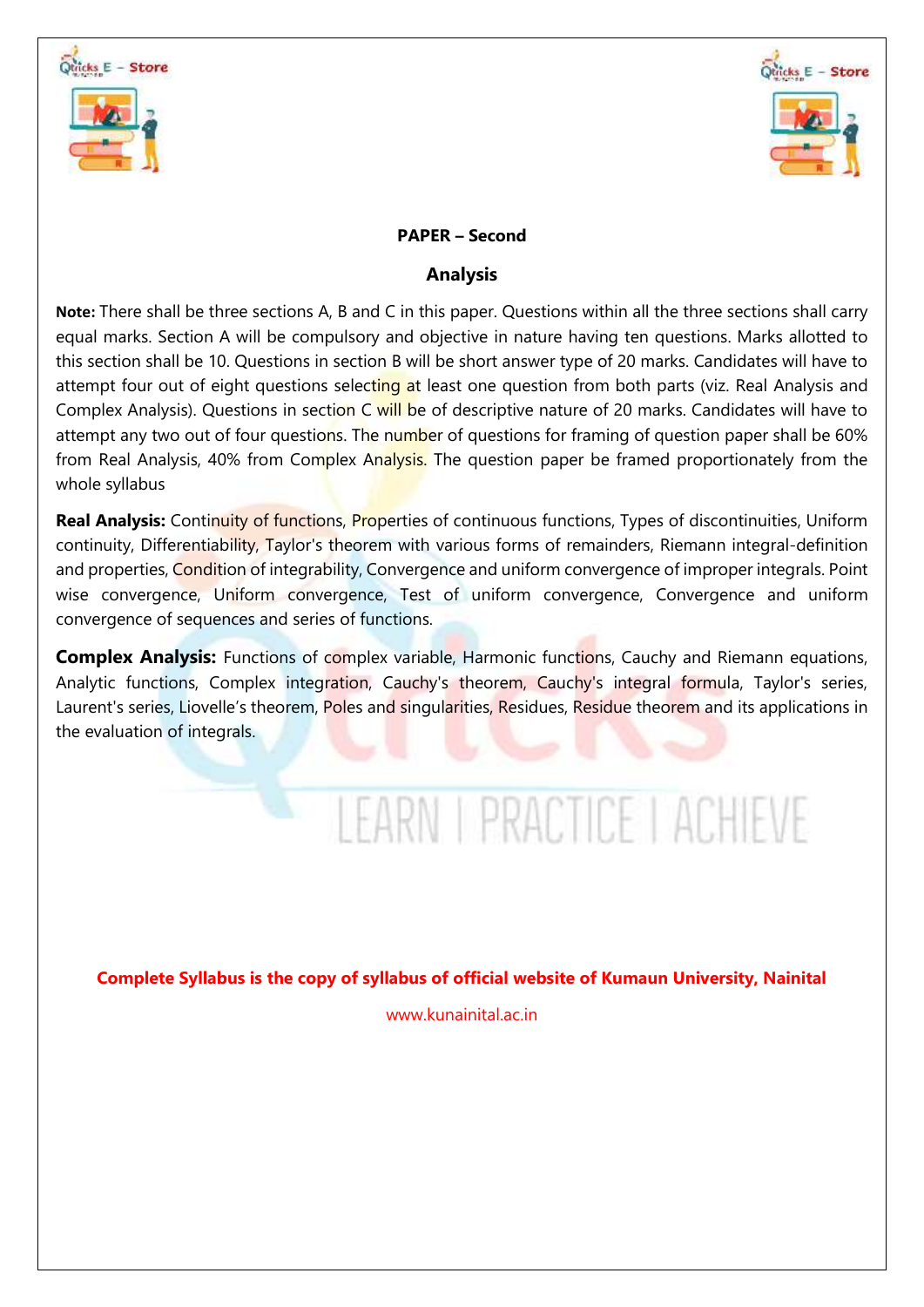



## **PAPER – Second**

## **Analysis**

**Note:** There shall be three sections A, B and C in this paper. Questions within all the three sections shall carry equal marks. Section A will be compulsory and objective in nature having ten questions. Marks allotted to this section shall be 10. Questions in section B will be short answer type of 20 marks. Candidates will have to attempt four out of eight questions selecting at least one question from both parts (viz. Real Analysis and Complex Analysis). Questions in section C will be of descriptive nature of 20 marks. Candidates will have to attempt any two out of four questions. The number of questions for framing of question paper shall be 60% from Real Analysis, 40% from Complex Analysis. The question paper be framed proportionately from the whole syllabus

**Real Analysis:** Continuity of functions, Properties of continuous functions, Types of discontinuities, Uniform continuity, Differentiability, Taylor's theorem with various forms of remainders, Riemann integral-definition and properties, Condition of integrability, Convergence and uniform convergence of improper integrals. Point wise convergence, Uniform convergence, Test of uniform convergence, Convergence and uniform convergence of sequences and series of functions.

**Complex Analysis:** Functions of complex variable, Harmonic functions, Cauchy and Riemann equations, Analytic functions, Complex integration, Cauchy's theorem, Cauchy's integral formula, Taylor's series, Laurent's series, Liovelle's theorem, Poles and singularities, Residues, Residue theorem and its applications in the evaluation of integrals.

# LEARN I PRACTICE I ACHIEVE

**Complete Syllabus is the copy of syllabus of official website of Kumaun University, Nainital**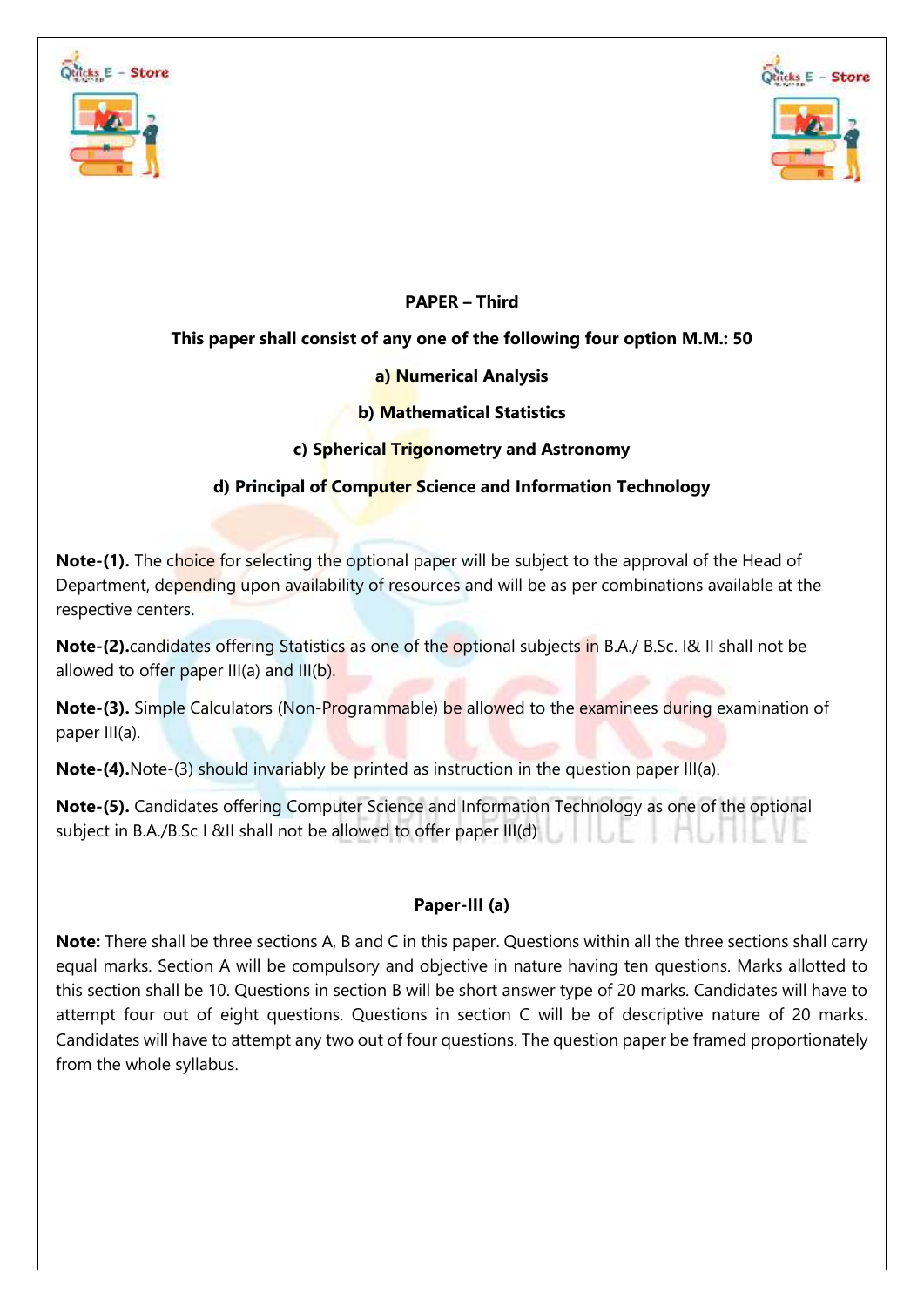



## **PAPER – Third**

## **This paper shall consist of any one of the following four option M.M.: 50**

## **a) Numerical Analysis**

## **b) Mathematical Statistics**

## **c) Spherical Trigonometry and Astronomy**

## **d) Principal of Computer Science and Information Technology**

**Note-(1).** The choice for selecting the optional paper will be subject to the approval of the Head of Department, depending upon availability of resources and will be as per combinations available at the respective centers.

**Note-(2).**candidates offering Statistics as one of the optional subjects in B.A./ B.Sc. I& II shall not be allowed to offer paper III(a) and III(b).

**Note-(3).** Simple Calculators (Non-Programmable) be allowed to the examinees during examination of paper III(a).

**Note-(4).**Note-(3) should invariably be printed as instruction in the question paper III(a).

**Note-(5).** Candidates offering Computer Science and Information Technology as one of the optional subject in B.A./B.Sc I &II shall not be allowed to offer paper III(d)

## **Paper-III (a)**

**Note:** There shall be three sections A, B and C in this paper. Questions within all the three sections shall carry equal marks. Section A will be compulsory and objective in nature having ten questions. Marks allotted to this section shall be 10. Questions in section B will be short answer type of 20 marks. Candidates will have to attempt four out of eight questions. Questions in section C will be of descriptive nature of 20 marks. Candidates will have to attempt any two out of four questions. The question paper be framed proportionately from the whole syllabus.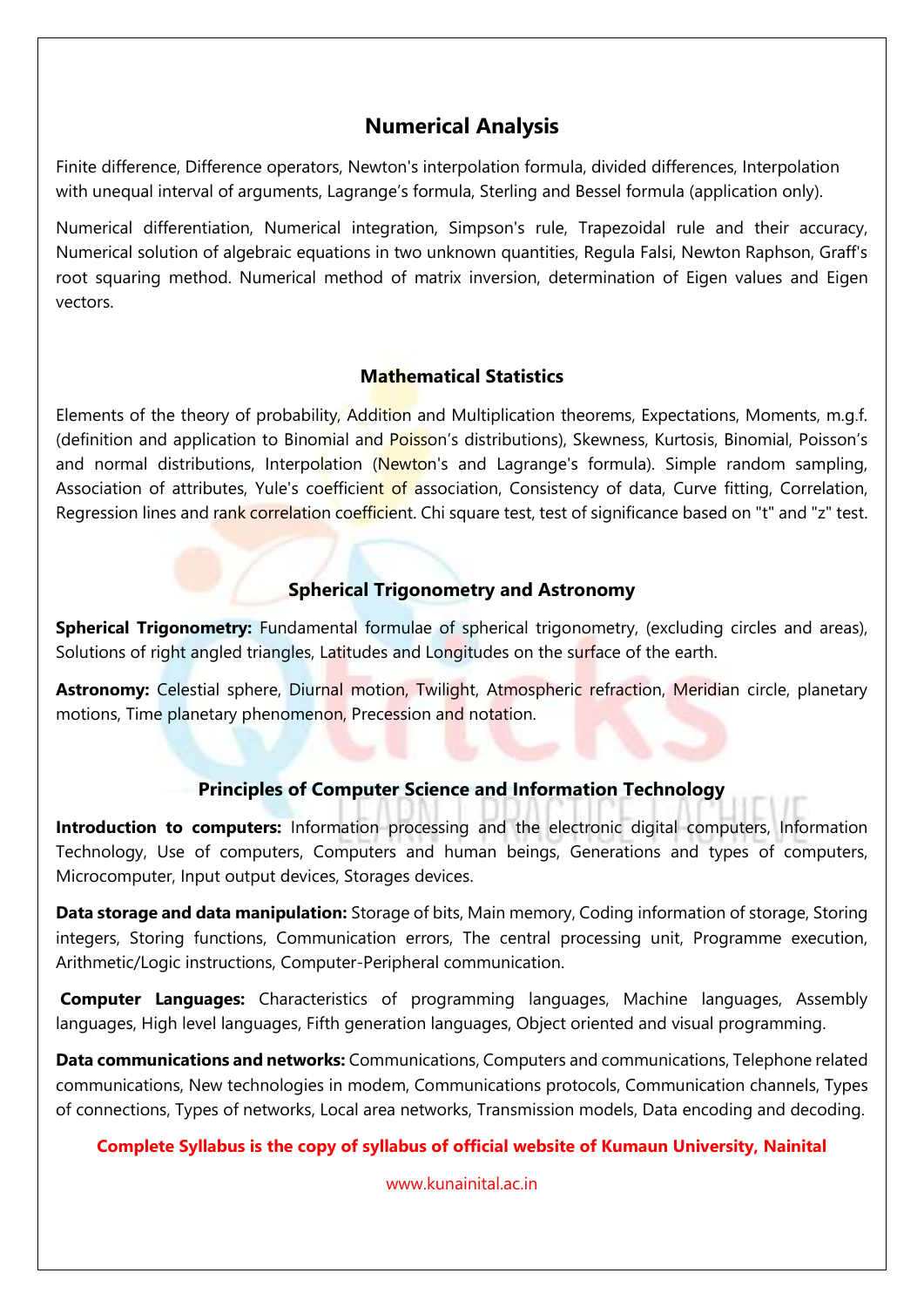## **Numerical Analysis**

Finite difference, Difference operators, Newton's interpolation formula, divided differences, Interpolation with unequal interval of arguments, Lagrange's formula, Sterling and Bessel formula (application only).

Numerical differentiation, Numerical integration, Simpson's rule, Trapezoidal rule and their accuracy, Numerical solution of algebraic equations in two unknown quantities, Regula Falsi, Newton Raphson, Graff's root squaring method. Numerical method of matrix inversion, determination of Eigen values and Eigen vectors.

## **Mathematical Statistics**

Elements of the theory of probability, Addition and Multiplication theorems, Expectations, Moments, m.g.f. (definition and application to Binomial and Poisson's distributions), Skewness, Kurtosis, Binomial, Poisson's and normal distributions, Interpolation (Newton's and Lagrange's formula). Simple random sampling, Association of attributes, Yule's coefficient of association, Consistency of data, Curve fitting, Correlation, Regression lines and rank correlation coefficient. Chi square test, test of significance based on "t" and "z" test.

## **Spherical Trigonometry and Astronomy**

**Spherical Trigonometry:** Fundamental formulae of spherical trigonometry, (excluding circles and areas), Solutions of right angled triangles, Latitudes and Longitudes on the surface of the earth.

Astronomy: Celestial sphere, Diurnal motion, Twilight, Atmospheric refraction, Meridian circle, planetary motions, Time planetary phenomenon, Precession and notation.

## **Principles of Computer Science and Information Technology**

**Introduction to computers:** Information processing and the electronic digital computers, Information Technology, Use of computers, Computers and human beings, Generations and types of computers, Microcomputer, Input output devices, Storages devices.

**Data storage and data manipulation:** Storage of bits, Main memory, Coding information of storage, Storing integers, Storing functions, Communication errors, The central processing unit, Programme execution, Arithmetic/Logic instructions, Computer-Peripheral communication.

**Computer Languages:** Characteristics of programming languages, Machine languages, Assembly languages, High level languages, Fifth generation languages, Object oriented and visual programming.

**Data communications and networks:** Communications, Computers and communications, Telephone related communications, New technologies in modem, Communications protocols, Communication channels, Types of connections, Types of networks, Local area networks, Transmission models, Data encoding and decoding.

## **Complete Syllabus is the copy of syllabus of official website of Kumaun University, Nainital**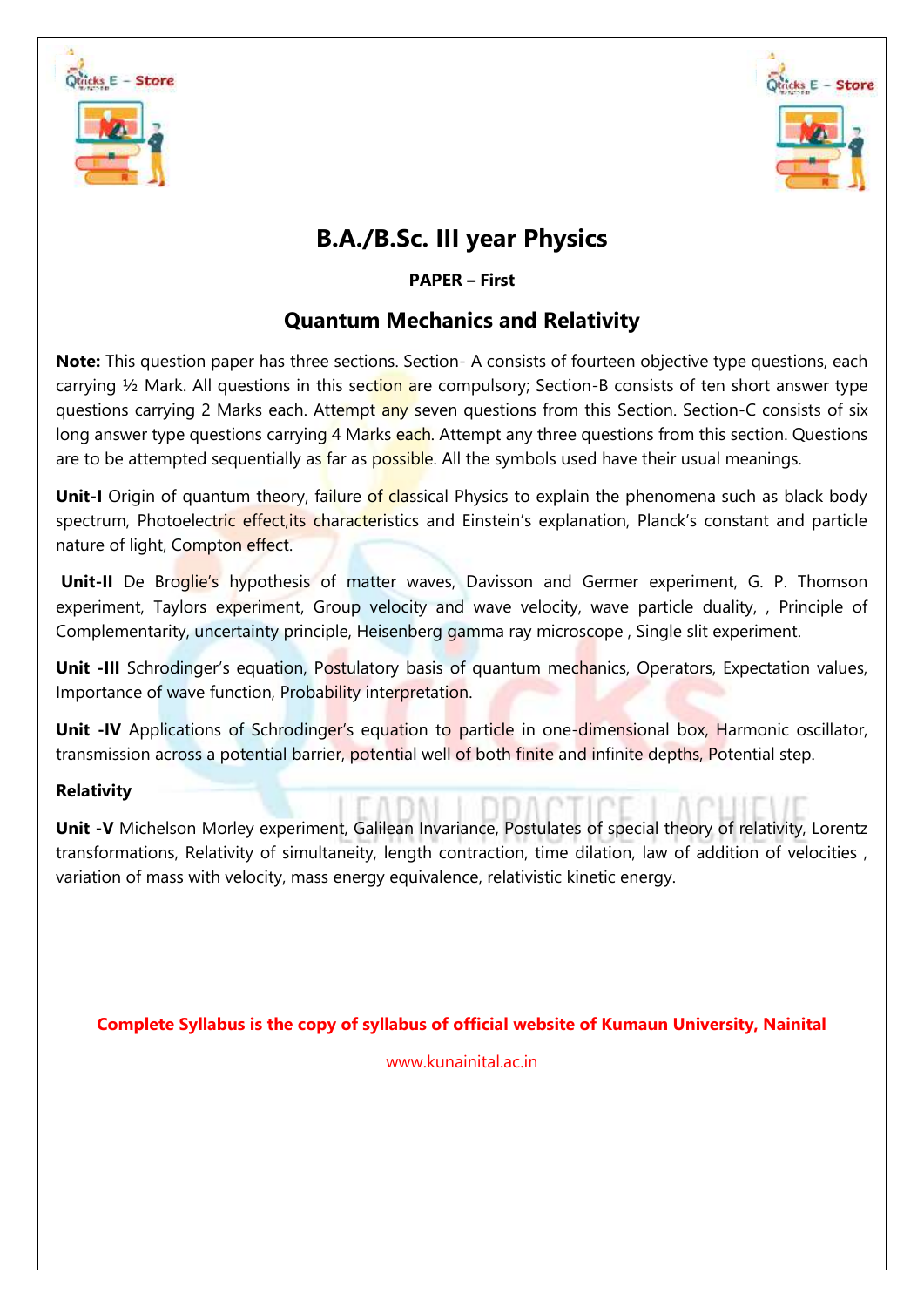



## **B.A./B.Sc. III year Physics**

## **PAPER – First**

## **Quantum Mechanics and Relativity**

**Note:** This question paper has three sections. Section- A consists of fourteen objective type questions, each carrying  $\frac{1}{2}$  Mark. All questions in this section are compulsory; Section-B consists of ten short answer type questions carrying 2 Marks each. Attempt any seven questions from this Section. Section-C consists of six long answer type questions carrying 4 Marks each. Attempt any three questions from this section. Questions are to be attempted sequentially as far as possible. All the symbols used have their usual meanings.

**Unit-I** Origin of quantum theory, failure of classical Physics to explain the phenomena such as black body spectrum, Photoelectric effect, its characteristics and Einstein's explanation, Planck's constant and particle nature of light, Compton effect.

**Unit-II** De Broglie's hypothesis of matter waves, Davisson and Germer experiment, G. P. Thomson experiment, Taylors experiment, Group velocity and wave velocity, wave particle duality, , Principle of Complementarity, uncertainty principle, Heisenberg gamma ray microscope , Single slit experiment.

**Unit -III** Schrodinger's equation, Postulatory basis of quantum mechanics, Operators, Expectation values, Importance of wave function, Probability interpretation.

**Unit -IV** Applications of Schrodinger's equation to particle in one-dimensional box, Harmonic oscillator, transmission across a potential barrier, potential well of both finite and infinite depths, Potential step.

## **Relativity**

**Unit -V** Michelson Morley experiment, Galilean Invariance, Postulates of special theory of relativity, Lorentz transformations, Relativity of simultaneity, length contraction, time dilation, law of addition of velocities , variation of mass with velocity, mass energy equivalence, relativistic kinetic energy.

**Complete Syllabus is the copy of syllabus of official website of Kumaun University, Nainital**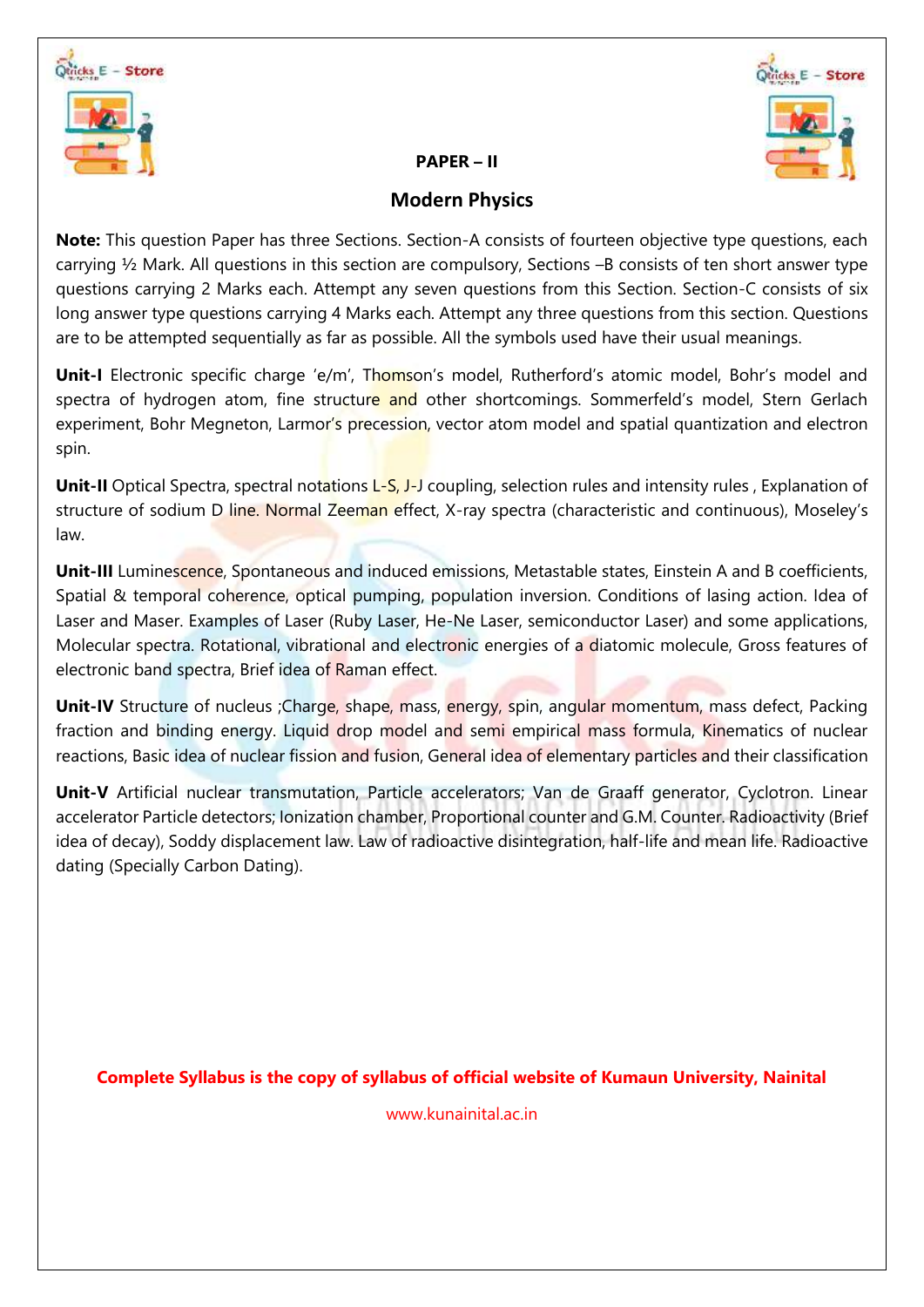



#### **PAPER – II**

## **Modern Physics**

**Note:** This question Paper has three Sections. Section-A consists of fourteen objective type questions, each carrying ½ Mark. All questions in this section are compulsory, Sections –B consists of ten short answer type questions carrying 2 Marks each. Attempt any seven questions from this Section. Section-C consists of six long answer type questions carrying 4 Marks each. Attempt any three questions from this section. Questions are to be attempted sequentially as far as possible. All the symbols used have their usual meanings.

Unit-I Electronic specific charge 'e/m', Thomson's model, Rutherford's atomic model, Bohr's model and spectra of hydrogen atom, fine structure and other shortcomings. Sommerfeld's model, Stern Gerlach experiment, Bohr Megneton, Larmor's precession, vector atom model and spatial quantization and electron spin.

**Unit-II** Optical Spectra, spectral notations L-S, J-J coupling, selection rules and intensity rules, Explanation of structure of sodium D line. Normal Zeeman effect, X-ray spectra (characteristic and continuous), Moseley's law.

**Unit-III** Luminescence, Spontaneous and induced emissions, Metastable states, Einstein A and B coefficients, Spatial & temporal coherence, optical pumping, population inversion. Conditions of lasing action. Idea of Laser and Maser. Examples of Laser (Ruby Laser, He-Ne Laser, semiconductor Laser) and some applications, Molecular spectra. Rotational, vibrational and electronic energies of a diatomic molecule, Gross features of electronic band spectra, Brief idea of Raman effect.

**Unit-IV** Structure of nucleus ;Charge, shape, mass, energy, spin, angular momentum, mass defect, Packing fraction and binding energy. Liquid drop model and semi empirical mass formula, Kinematics of nuclear reactions, Basic idea of nuclear fission and fusion, General idea of elementary particles and their classification

**Unit-V** Artificial nuclear transmutation, Particle accelerators; Van de Graaff generator, Cyclotron. Linear accelerator Particle detectors; Ionization chamber, Proportional counter and G.M. Counter. Radioactivity (Brief idea of decay), Soddy displacement law. Law of radioactive disintegration, half-life and mean life. Radioactive dating (Specially Carbon Dating).

**Complete Syllabus is the copy of syllabus of official website of Kumaun University, Nainital**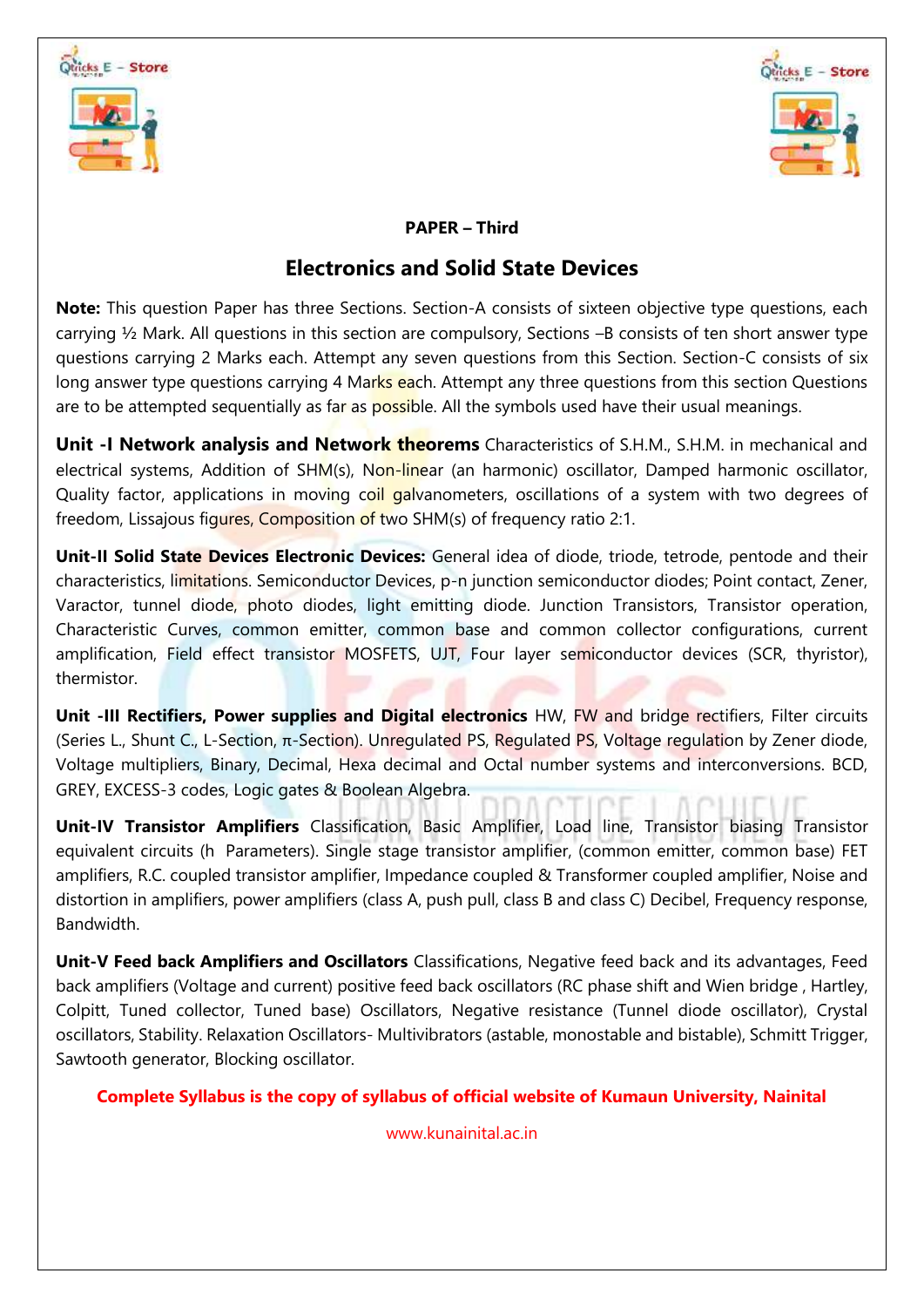



## **PAPER – Third**

## **Electronics and Solid State Devices**

**Note:** This question Paper has three Sections. Section-A consists of sixteen objective type questions, each carrying ½ Mark. All questions in this section are compulsory, Sections –B consists of ten short answer type questions carrying 2 Marks each. Attempt any seven questions from this Section. Section-C consists of six long answer type questions carrying 4 Marks each. Attempt any three questions from this section Questions are to be attempted sequentially as far as possible. All the symbols used have their usual meanings.

**Unit -I Network analysis and Network theorems** Characteristics of S.H.M., S.H.M. in mechanical and electrical systems, Addition of SHM(s), Non-linear (an harmonic) oscillator, Damped harmonic oscillator, Quality factor, applications in moving coil galvanometers, oscillations of a system with two degrees of freedom, Lissajous figures, Composition of two SHM(s) of frequency ratio 2:1.

**Unit-II Solid State Devices Electronic Devices:** General idea of diode, triode, tetrode, pentode and their characteristics, limitations. Semiconductor Devices, p-n junction semiconductor diodes; Point contact, Zener, Varactor, tunnel diode, photo diodes, light emitting diode. Junction Transistors, Transistor operation, Characteristic Curves, common emitter, common base and common collector configurations, current amplification, Field effect transistor MOSFETS, UJT, Four layer semiconductor devices (SCR, thyristor), thermistor.

**Unit -III Rectifiers, Power supplies and Digital electronics** HW, FW and bridge rectifiers, Filter circuits (Series L., Shunt C., L-Section, π-Section). Unregulated PS, Regulated PS, Voltage regulation by Zener diode, Voltage multipliers, Binary, Decimal, Hexa decimal and Octal number systems and interconversions. BCD, GREY, EXCESS-3 codes, Logic gates & Boolean Algebra.

**Unit-IV Transistor Amplifiers** Classification, Basic Amplifier, Load line, Transistor biasing Transistor equivalent circuits (h Parameters). Single stage transistor amplifier, (common emitter, common base) FET amplifiers, R.C. coupled transistor amplifier, Impedance coupled & Transformer coupled amplifier, Noise and distortion in amplifiers, power amplifiers (class A, push pull, class B and class C) Decibel, Frequency response, Bandwidth.

**Unit-V Feed back Amplifiers and Oscillators** Classifications, Negative feed back and its advantages, Feed back amplifiers (Voltage and current) positive feed back oscillators (RC phase shift and Wien bridge , Hartley, Colpitt, Tuned collector, Tuned base) Oscillators, Negative resistance (Tunnel diode oscillator), Crystal oscillators, Stability. Relaxation Oscillators- Multivibrators (astable, monostable and bistable), Schmitt Trigger, Sawtooth generator, Blocking oscillator.

**Complete Syllabus is the copy of syllabus of official website of Kumaun University, Nainital**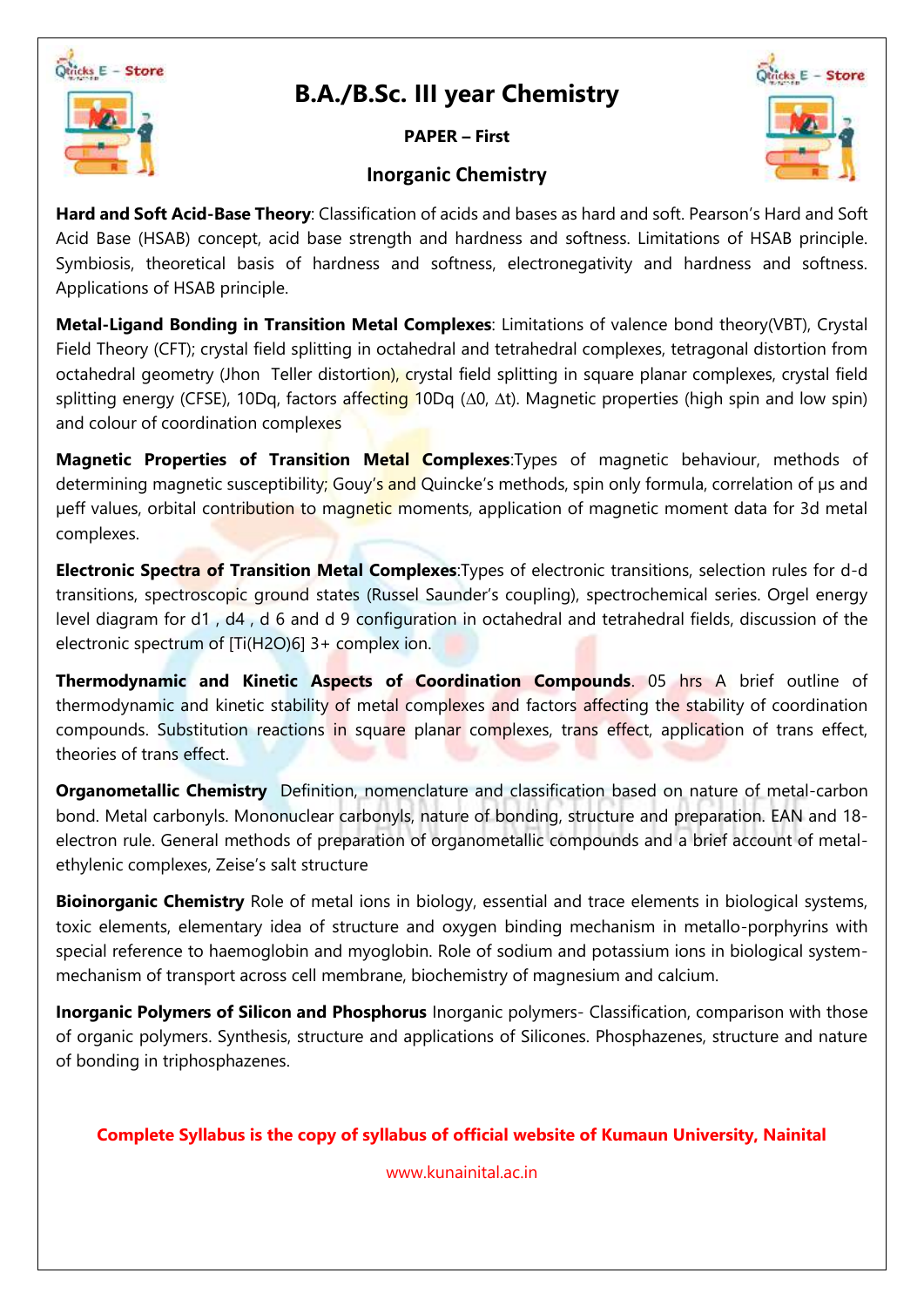

## **B.A./B.Sc. III year Chemistry**

**PAPER – First**

# Micks E - Store

## **Inorganic Chemistry**

**Hard and Soft Acid-Base Theory**: Classification of acids and bases as hard and soft. Pearson's Hard and Soft Acid Base (HSAB) concept, acid base strength and hardness and softness. Limitations of HSAB principle. Symbiosis, theoretical basis of hardness and softness, electronegativity and hardness and softness. Applications of HSAB principle.

**Metal-Ligand Bonding in Transition Metal Complexes**: Limitations of valence bond theory(VBT), Crystal Field Theory (CFT); crystal field splitting in octahedral and tetrahedral complexes, tetragonal distortion from octahedral geometry (Jhon Teller distortion), crystal field splitting in square planar complexes, crystal field splitting energy (CFSE), 10Dq, factors affecting 10Dq (Δ0, Δt). Magnetic properties (high spin and low spin) and colour of coordination complexes

**Magnetic Properties of Transition Metal Complexes**:Types of magnetic behaviour, methods of determining magnetic susceptibility; Gouy's and Quincke's methods, spin only formula, correlation of us and µeff values, orbital contribution to magnetic moments, application of magnetic moment data for 3d metal complexes.

**Electronic Spectra of Transition Metal Complexes**:Types of electronic transitions, selection rules for d-d transitions, spectroscopic ground states (Russel Saunder's coupling), spectrochemical series. Orgel energy level diagram for d1 , d4 , d 6 and d 9 configuration in octahedral and tetrahedral fields, discussion of the electronic spectrum of [Ti(H2O)6] 3+ complex ion.

**Thermodynamic and Kinetic Aspects of Coordination Compounds**. 05 hrs A brief outline of thermodynamic and kinetic stability of metal complexes and factors affecting the stability of coordination compounds. Substitution reactions in square planar complexes, trans effect, application of trans effect, theories of trans effect.

**Organometallic Chemistry** Definition, nomenclature and classification based on nature of metal-carbon bond. Metal carbonyls. Mononuclear carbonyls, nature of bonding, structure and preparation. EAN and 18 electron rule. General methods of preparation of organometallic compounds and a brief account of metalethylenic complexes, Zeise's salt structure

**Bioinorganic Chemistry** Role of metal ions in biology, essential and trace elements in biological systems, toxic elements, elementary idea of structure and oxygen binding mechanism in metallo-porphyrins with special reference to haemoglobin and myoglobin. Role of sodium and potassium ions in biological systemmechanism of transport across cell membrane, biochemistry of magnesium and calcium.

**Inorganic Polymers of Silicon and Phosphorus** Inorganic polymers- Classification, comparison with those of organic polymers. Synthesis, structure and applications of Silicones. Phosphazenes, structure and nature of bonding in triphosphazenes.

**Complete Syllabus is the copy of syllabus of official website of Kumaun University, Nainital**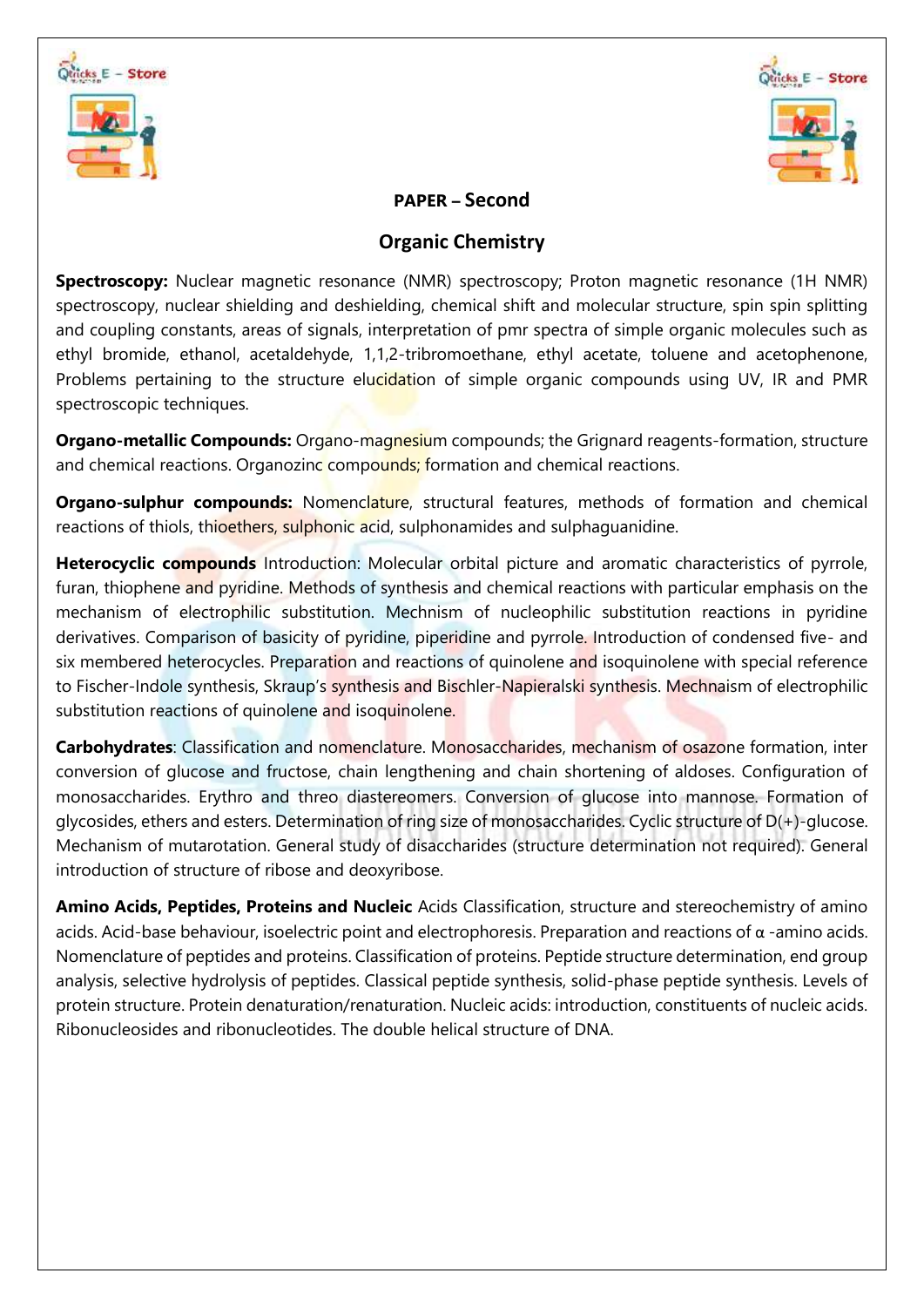



## **PAPER – Second**

## **Organic Chemistry**

**Spectroscopy:** Nuclear magnetic resonance (NMR) spectroscopy; Proton magnetic resonance (1H NMR) spectroscopy, nuclear shielding and deshielding, chemical shift and molecular structure, spin spin splitting and coupling constants, areas of signals, interpretation of pmr spectra of simple organic molecules such as ethyl bromide, ethanol, acetaldehyde, 1,1,2-tribromoethane, ethyl acetate, toluene and acetophenone, Problems pertaining to the structure elucidation of simple organic compounds using UV, IR and PMR spectroscopic techniques.

**Organo-metallic Compounds:** Organo-magnesium compounds; the Grignard reagents-formation, structure and chemical reactions. Organozinc compounds; formation and chemical reactions.

**Organo-sulphur compounds:** Nomenclature, structural features, methods of formation and chemical reactions of thiols, thioethers, sulphonic acid, sulphonamides and sulphaguanidine.

**Heterocyclic compounds** Introduction: Molecular orbital picture and aromatic characteristics of pyrrole, furan, thiophene and pyridine. Methods of synthesis and chemical reactions with particular emphasis on the mechanism of electrophilic substitution. Mechnism of nucleophilic substitution reactions in pyridine derivatives. Comparison of basicity of pyridine, piperidine and pyrrole. Introduction of condensed five- and six membered heterocycles. Preparation and reactions of quinolene and isoquinolene with special reference to Fischer-Indole synthesis, Skraup's synthesis and Bischler-Napieralski synthesis. Mechnaism of electrophilic substitution reactions of quinolene and isoquinolene.

**Carbohydrates**: Classification and nomenclature. Monosaccharides, mechanism of osazone formation, inter conversion of glucose and fructose, chain lengthening and chain shortening of aldoses. Configuration of monosaccharides. Erythro and threo diastereomers. Conversion of glucose into mannose. Formation of glycosides, ethers and esters. Determination of ring size of monosaccharides. Cyclic structure of D(+)-glucose. Mechanism of mutarotation. General study of disaccharides (structure determination not required). General introduction of structure of ribose and deoxyribose.

**Amino Acids, Peptides, Proteins and Nucleic** Acids Classification, structure and stereochemistry of amino acids. Acid-base behaviour, isoelectric point and electrophoresis. Preparation and reactions of α -amino acids. Nomenclature of peptides and proteins. Classification of proteins. Peptide structure determination, end group analysis, selective hydrolysis of peptides. Classical peptide synthesis, solid-phase peptide synthesis. Levels of protein structure. Protein denaturation/renaturation. Nucleic acids: introduction, constituents of nucleic acids. Ribonucleosides and ribonucleotides. The double helical structure of DNA.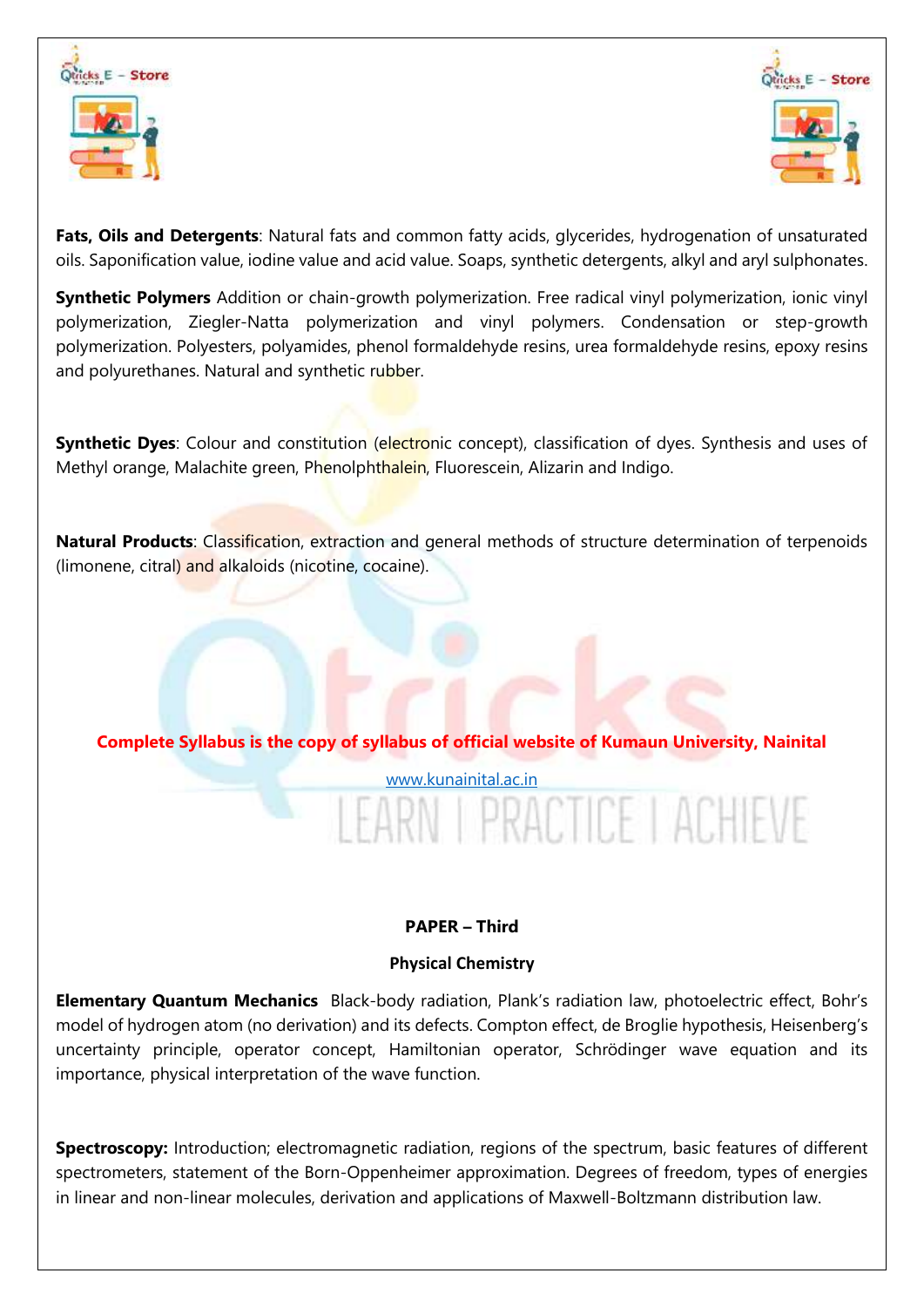



**Fats, Oils and Detergents**: Natural fats and common fatty acids, glycerides, hydrogenation of unsaturated oils. Saponification value, iodine value and acid value. Soaps, synthetic detergents, alkyl and aryl sulphonates.

**Synthetic Polymers** Addition or chain-growth polymerization. Free radical vinyl polymerization, ionic vinyl polymerization, Ziegler-Natta polymerization and vinyl polymers. Condensation or step-growth polymerization. Polyesters, polyamides, phenol formaldehyde resins, urea formaldehyde resins, epoxy resins and polyurethanes. Natural and synthetic rubber.

**Synthetic Dyes**: Colour and constitution (electronic concept), classification of dyes. Synthesis and uses of Methyl orange, Malachite green, Phenolphthalein, Fluorescein, Alizarin and Indigo.

**Natural Products**: Classification, extraction and general methods of structure determination of terpenoids (limonene, citral) and alkaloids (nicotine, cocaine).

## **Complete Syllabus is the copy of syllabus of official website of Kumaun University, Nainital**

## [www.kunainital.ac.in](http://www.kunainital.ac.in/) **LPRACTICE LACHIEVE**

## **PAPER – Third**

## **Physical Chemistry**

**Elementary Quantum Mechanics** Black-body radiation, Plank's radiation law, photoelectric effect, Bohr's model of hydrogen atom (no derivation) and its defects. Compton effect, de Broglie hypothesis, Heisenberg's uncertainty principle, operator concept, Hamiltonian operator, Schrödinger wave equation and its importance, physical interpretation of the wave function.

**Spectroscopy:** Introduction; electromagnetic radiation, regions of the spectrum, basic features of different spectrometers, statement of the Born-Oppenheimer approximation. Degrees of freedom, types of energies in linear and non-linear molecules, derivation and applications of Maxwell-Boltzmann distribution law.